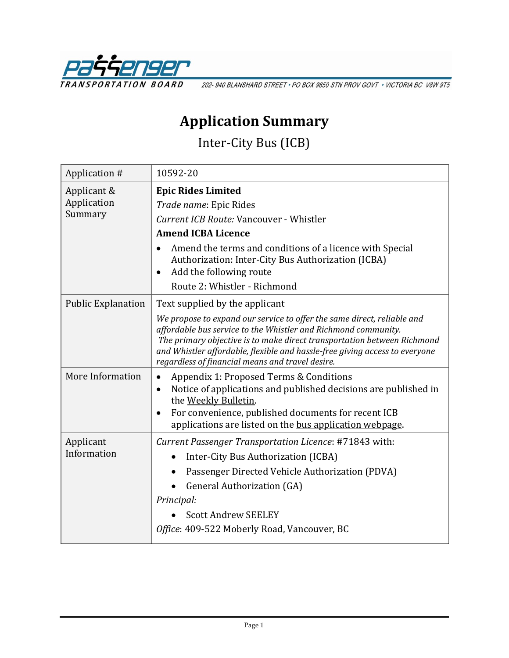

202-940 BLANSHARD STREET · PO BOX 9850 STN PROV GOVT · VICTORIA BC V8W 9T5

## **Application Summary**

Inter-City Bus (ICB)

| Application #                         | 10592-20                                                                                                                                                                                                                                                                                                                                                |
|---------------------------------------|---------------------------------------------------------------------------------------------------------------------------------------------------------------------------------------------------------------------------------------------------------------------------------------------------------------------------------------------------------|
| Applicant &<br>Application<br>Summary | <b>Epic Rides Limited</b><br>Trade name: Epic Rides<br>Current ICB Route: Vancouver - Whistler                                                                                                                                                                                                                                                          |
|                                       | <b>Amend ICBA Licence</b>                                                                                                                                                                                                                                                                                                                               |
|                                       | Amend the terms and conditions of a licence with Special<br>$\bullet$<br>Authorization: Inter-City Bus Authorization (ICBA)<br>Add the following route<br>$\bullet$<br>Route 2: Whistler - Richmond                                                                                                                                                     |
| <b>Public Explanation</b>             | Text supplied by the applicant                                                                                                                                                                                                                                                                                                                          |
|                                       | We propose to expand our service to offer the same direct, reliable and<br>affordable bus service to the Whistler and Richmond community.<br>The primary objective is to make direct transportation between Richmond<br>and Whistler affordable, flexible and hassle-free giving access to everyone<br>regardless of financial means and travel desire. |
| More Information                      | Appendix 1: Proposed Terms & Conditions<br>$\bullet$<br>Notice of applications and published decisions are published in<br>$\bullet$<br>the Weekly Bulletin.<br>For convenience, published documents for recent ICB<br>$\bullet$<br>applications are listed on the bus application webpage.                                                             |
| Applicant<br>Information              | Current Passenger Transportation Licence: #71843 with:<br>Inter-City Bus Authorization (ICBA)<br>Passenger Directed Vehicle Authorization (PDVA)<br><b>General Authorization (GA)</b><br>Principal:<br><b>Scott Andrew SEELEY</b><br>Office: 409-522 Moberly Road, Vancouver, BC                                                                        |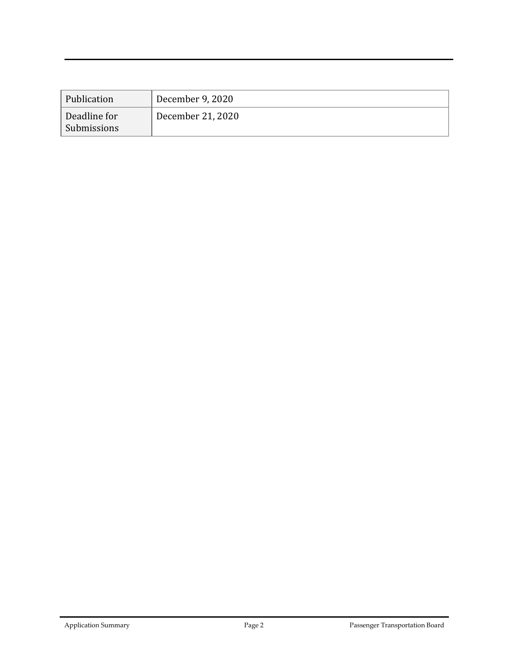| Publication                 | December 9, 2020 ' |
|-----------------------------|--------------------|
| Deadline for<br>Submissions | December 21, 2020  |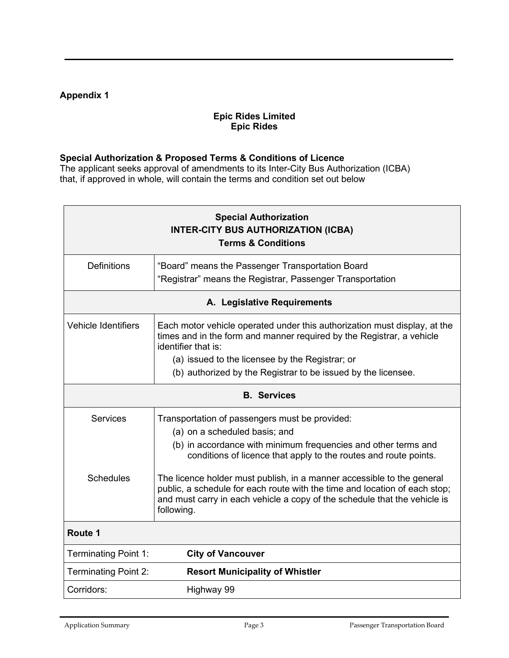## **Appendix 1**

## **Epic Rides Limited Epic Rides**

## **Special Authorization & Proposed Terms & Conditions of Licence**

The applicant seeks approval of amendments to its Inter-City Bus Authorization (ICBA) that, if approved in whole, will contain the terms and condition set out below

| <b>Special Authorization</b><br><b>INTER-CITY BUS AUTHORIZATION (ICBA)</b><br><b>Terms &amp; Conditions</b> |                                                                                                                                                                                                                                                 |  |
|-------------------------------------------------------------------------------------------------------------|-------------------------------------------------------------------------------------------------------------------------------------------------------------------------------------------------------------------------------------------------|--|
| <b>Definitions</b>                                                                                          | "Board" means the Passenger Transportation Board<br>"Registrar" means the Registrar, Passenger Transportation                                                                                                                                   |  |
| A. Legislative Requirements                                                                                 |                                                                                                                                                                                                                                                 |  |
| Vehicle Identifiers                                                                                         | Each motor vehicle operated under this authorization must display, at the<br>times and in the form and manner required by the Registrar, a vehicle<br>identifier that is:                                                                       |  |
|                                                                                                             | (a) issued to the licensee by the Registrar; or                                                                                                                                                                                                 |  |
|                                                                                                             | (b) authorized by the Registrar to be issued by the licensee.                                                                                                                                                                                   |  |
| <b>B.</b> Services                                                                                          |                                                                                                                                                                                                                                                 |  |
| <b>Services</b>                                                                                             | Transportation of passengers must be provided:<br>(a) on a scheduled basis; and<br>(b) in accordance with minimum frequencies and other terms and<br>conditions of licence that apply to the routes and route points.                           |  |
| <b>Schedules</b>                                                                                            | The licence holder must publish, in a manner accessible to the general<br>public, a schedule for each route with the time and location of each stop;<br>and must carry in each vehicle a copy of the schedule that the vehicle is<br>following. |  |
| Route 1                                                                                                     |                                                                                                                                                                                                                                                 |  |
| <b>Terminating Point 1:</b>                                                                                 | <b>City of Vancouver</b>                                                                                                                                                                                                                        |  |
| <b>Terminating Point 2:</b>                                                                                 | <b>Resort Municipality of Whistler</b>                                                                                                                                                                                                          |  |
| Corridors:                                                                                                  | Highway 99                                                                                                                                                                                                                                      |  |